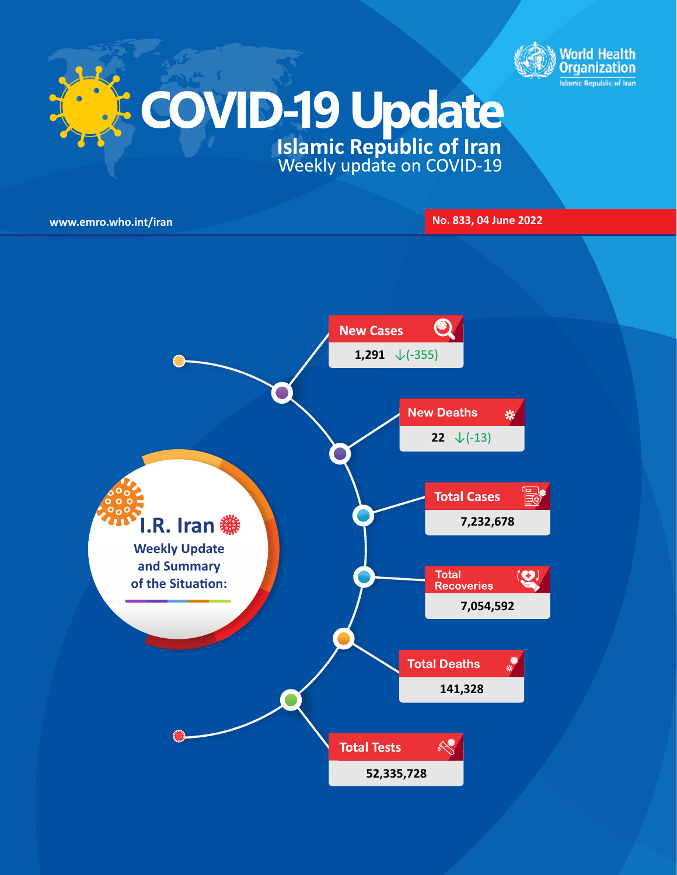

# **COVID-19 Update**

**www.emro.who.int/iran No. 833, 04 June 2022** 

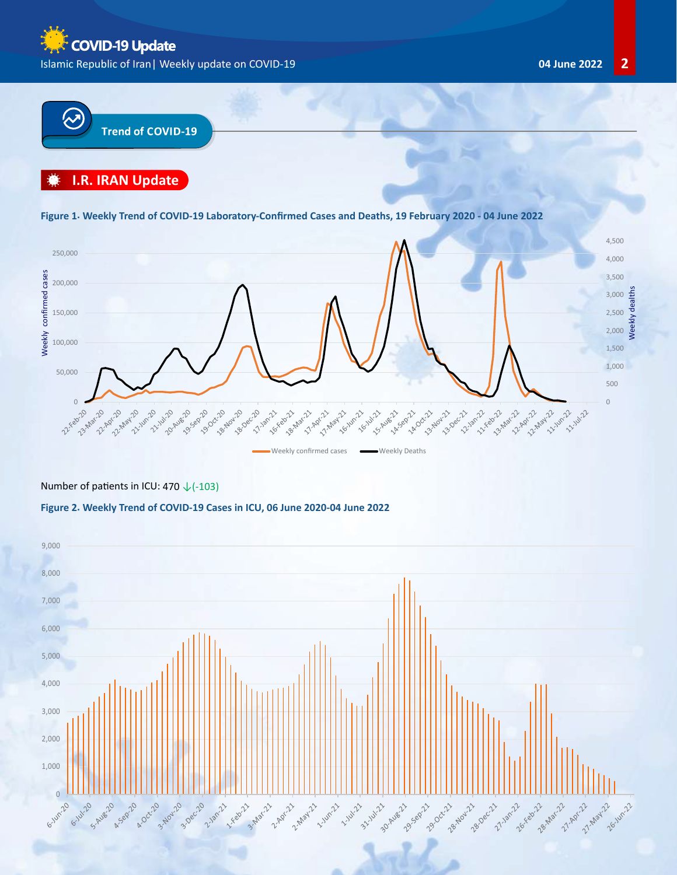**COVID-19 Update** Islamic Republic of Iran| Weekly update on COVID-19 **04 June 2022 2**



# **I.R. IRAN Update**

# 300,000 **Figure 1. Weekly Trend of COVID-19 Laboratory-Confirmed Cases and Deaths, 19 February 2020 - 04 June 2022**



Weekly confirmed cases **Weekly Deaths** 

# Number of patients in ICU: 470 ↓(-103)

# **Figure 2. Weekly Trend of COVID-19 Cases in ICU, 06 June 2020-04 June 2022**

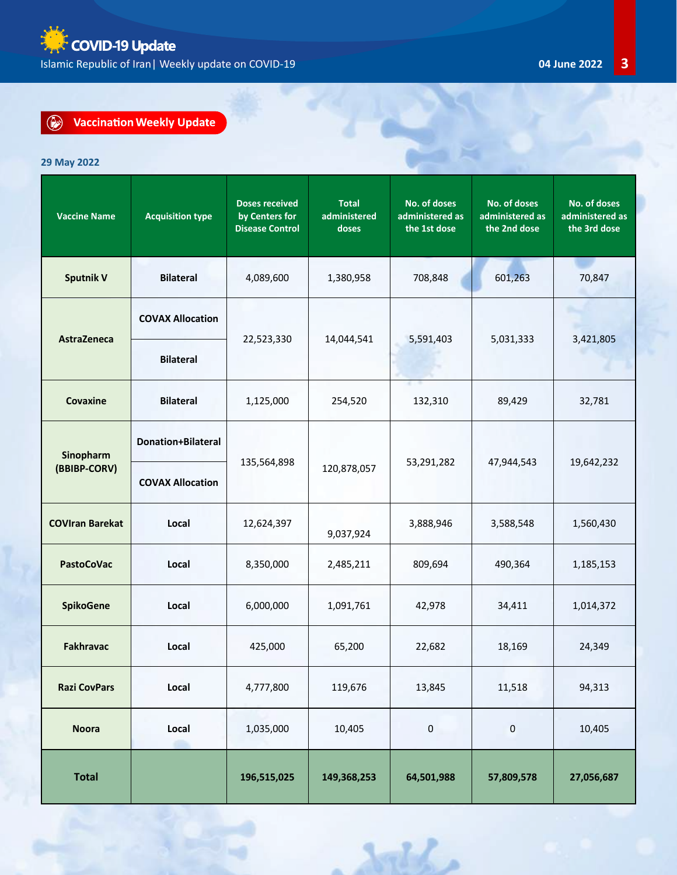**E** COVID-19 Update  $\frac{1}{2}$ Islamic Republic of Iran| Weekly update on COVID-19 **04 June 2022 3**

### $\odot$ **Vaccination Weekly Update**

# **29 May 2022**

| <b>Vaccine Name</b>    | <b>Acquisition type</b>   | <b>Doses received</b><br>by Centers for<br><b>Disease Control</b> | <b>Total</b><br>administered<br>doses | No. of doses<br>administered as<br>the 1st dose | No. of doses<br>administered as<br>the 2nd dose | No. of doses<br>administered as<br>the 3rd dose |  |  |  |
|------------------------|---------------------------|-------------------------------------------------------------------|---------------------------------------|-------------------------------------------------|-------------------------------------------------|-------------------------------------------------|--|--|--|
| <b>Sputnik V</b>       | <b>Bilateral</b>          | 4,089,600                                                         | 1,380,958                             | 708,848                                         | 601,263                                         | 70,847                                          |  |  |  |
|                        | <b>COVAX Allocation</b>   |                                                                   |                                       |                                                 |                                                 |                                                 |  |  |  |
| <b>AstraZeneca</b>     | <b>Bilateral</b>          | 22,523,330                                                        | 14,044,541                            | 5,591,403                                       | 5,031,333                                       | 3,421,805                                       |  |  |  |
| Covaxine               | <b>Bilateral</b>          | 1,125,000                                                         | 254,520                               | 4.18<br>132,310                                 | 89,429                                          | 32,781                                          |  |  |  |
| Sinopharm              | <b>Donation+Bilateral</b> |                                                                   |                                       |                                                 |                                                 | 19,642,232                                      |  |  |  |
| (BBIBP-CORV)           | <b>COVAX Allocation</b>   | 135,564,898                                                       | 120,878,057                           | 53,291,282                                      | 47,944,543                                      |                                                 |  |  |  |
| <b>COVIran Barekat</b> | Local                     | 12,624,397                                                        | 9,037,924                             | 3,888,946                                       | 3,588,548                                       | 1,560,430                                       |  |  |  |
| <b>PastoCoVac</b>      | Local                     | 8,350,000                                                         | 2,485,211                             | 809,694                                         | 490,364                                         | 1,185,153                                       |  |  |  |
| SpikoGene              | Local                     | 6,000,000                                                         | 1,091,761                             | 42,978                                          | 34,411                                          | 1,014,372                                       |  |  |  |
| <b>Fakhravac</b>       | Local                     | 425,000                                                           | 65,200                                | 22,682                                          | 18,169                                          | 24,349                                          |  |  |  |
| <b>Razi CovPars</b>    | Local                     | 4,777,800                                                         | 119,676                               | 13,845                                          | 11,518                                          | 94,313                                          |  |  |  |
| <b>Noora</b>           | Local                     | 1,035,000                                                         | 10,405                                | 0                                               | $\pmb{0}$                                       | 10,405                                          |  |  |  |
| <b>Total</b>           |                           | 196,515,025                                                       | 149,368,253                           | 64,501,988                                      | 57,809,578                                      | 27,056,687                                      |  |  |  |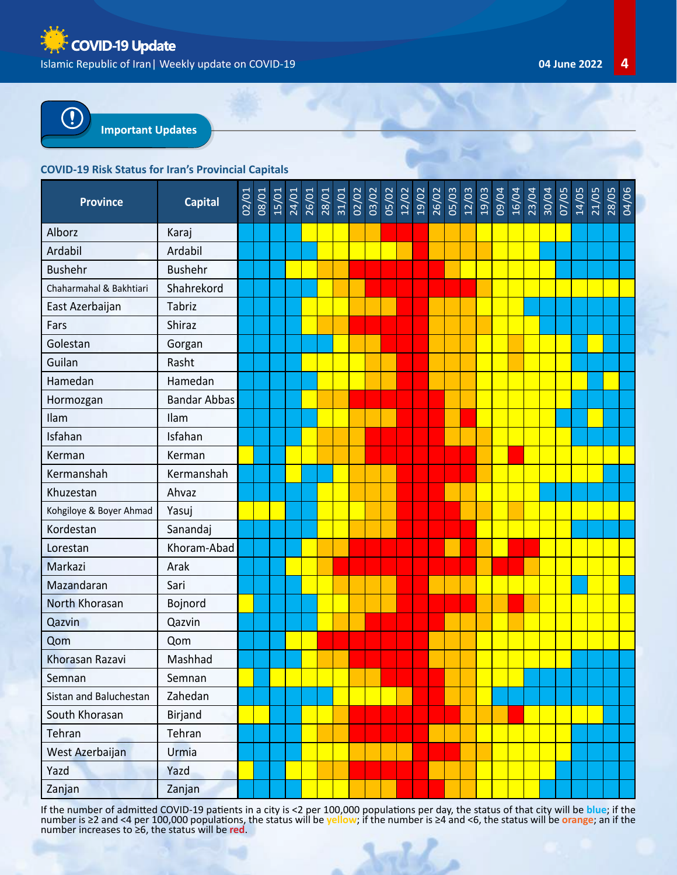



### **COVID-19 Risk Status for Iran's Provincial Capitals**

| <b>Province</b>         | <b>Capital</b>      | 02/01 | 08/01<br>15/01<br>24/01<br>26/01 |  | 28/01<br>31/01 | 02/02 | 03/02<br>05/02 | 12/02 | 19/02 | 26/02 | 05/03 | 12/03 | 19/03 | 09/04 | 16/04 | 23/04 | 30/04 | 07/05 | 14/05 | 21/05 | 28/05<br>04/06 |  |
|-------------------------|---------------------|-------|----------------------------------|--|----------------|-------|----------------|-------|-------|-------|-------|-------|-------|-------|-------|-------|-------|-------|-------|-------|----------------|--|
| Alborz                  | Karaj               |       |                                  |  |                |       |                |       |       |       |       |       |       |       |       |       |       |       |       |       |                |  |
| Ardabil                 | Ardabil             |       |                                  |  |                |       |                |       |       |       |       |       |       |       |       |       |       |       |       |       |                |  |
| <b>Bushehr</b>          | <b>Bushehr</b>      |       |                                  |  |                |       |                |       |       |       |       |       |       |       |       |       |       |       |       |       |                |  |
| Chaharmahal & Bakhtiari | Shahrekord          |       |                                  |  |                |       |                |       |       |       |       |       |       |       |       |       |       |       |       |       |                |  |
| East Azerbaijan         | Tabriz              |       |                                  |  |                |       |                |       |       |       |       |       |       |       |       |       |       |       |       |       |                |  |
| Fars                    | Shiraz              |       |                                  |  |                |       |                |       |       |       |       |       |       |       |       |       |       |       |       |       |                |  |
| Golestan                | Gorgan              |       |                                  |  |                |       |                |       |       |       |       |       |       |       |       |       |       |       |       |       |                |  |
| Guilan                  | Rasht               |       |                                  |  |                |       |                |       |       |       |       |       |       |       |       |       |       |       |       |       |                |  |
| Hamedan                 | Hamedan             |       |                                  |  |                |       |                |       |       |       |       |       |       |       |       |       |       |       |       |       |                |  |
| Hormozgan               | <b>Bandar Abbas</b> |       |                                  |  |                |       |                |       |       |       |       |       |       |       |       |       |       |       |       |       |                |  |
| Ilam                    | Ilam                |       |                                  |  |                |       |                |       |       |       |       |       |       |       |       |       |       |       |       |       |                |  |
| Isfahan                 | Isfahan             |       |                                  |  |                |       |                |       |       |       |       |       |       |       |       |       |       |       |       |       |                |  |
| Kerman                  | Kerman              |       |                                  |  |                |       |                |       |       |       |       |       |       |       |       |       |       |       |       |       |                |  |
| Kermanshah              | Kermanshah          |       |                                  |  |                |       |                |       |       |       |       |       |       |       |       |       |       |       |       |       |                |  |
| Khuzestan               | Ahvaz               |       |                                  |  |                |       |                |       |       |       |       |       |       |       |       |       |       |       |       |       |                |  |
| Kohgiloye & Boyer Ahmad | Yasuj               |       |                                  |  |                |       |                |       |       |       |       |       |       |       |       |       |       |       |       |       |                |  |
| Kordestan               | Sanandaj            |       |                                  |  |                |       |                |       |       |       |       |       |       |       |       |       |       |       |       |       |                |  |
| Lorestan                | Khoram-Abad         |       |                                  |  |                |       |                |       |       |       |       |       |       |       |       |       |       |       |       |       |                |  |
| Markazi                 | Arak                |       |                                  |  |                |       |                |       |       |       |       |       |       |       |       |       |       |       |       |       |                |  |
| Mazandaran              | Sari                |       |                                  |  |                |       |                |       |       |       |       |       |       |       |       |       |       |       |       |       |                |  |
| North Khorasan          | Bojnord             |       |                                  |  |                |       |                |       |       |       |       |       |       |       |       |       |       |       |       |       |                |  |
| Qazvin                  | Qazvin              |       |                                  |  |                |       |                |       |       |       |       |       |       |       |       |       |       |       |       |       |                |  |
| Qom                     | Qom                 |       |                                  |  |                |       |                |       |       |       |       |       |       |       |       |       |       |       |       |       |                |  |
| Khorasan Razavi         | Mashhad             |       |                                  |  |                |       |                |       |       |       |       |       |       |       |       |       |       |       |       |       |                |  |
| Semnan                  | Semnan              |       |                                  |  |                |       |                |       |       |       |       |       |       |       |       |       |       |       |       |       |                |  |
| Sistan and Baluchestan  | Zahedan             |       |                                  |  |                |       |                |       |       |       |       |       |       |       |       |       |       |       |       |       |                |  |
| South Khorasan          | <b>Birjand</b>      |       |                                  |  |                |       |                |       |       |       |       |       |       |       |       |       |       |       |       |       |                |  |
| Tehran                  | Tehran              |       |                                  |  |                |       |                |       |       |       |       |       |       |       |       |       |       |       |       |       |                |  |
| West Azerbaijan         | Urmia               |       |                                  |  |                |       |                |       |       |       |       |       |       |       |       |       |       |       |       |       |                |  |
| Yazd                    | Yazd                |       |                                  |  |                |       |                |       |       |       |       |       |       |       |       |       |       |       |       |       |                |  |
| Zanjan                  | Zanjan              |       |                                  |  |                |       |                |       |       |       |       |       |       |       |       |       |       |       |       |       |                |  |

If the number of admitted COVID-19 patients in a city is <2 per 100,000 populations per day, the status of that city will be **blue**; if the number is ≥2 and <4 per 100,000 populations, the status will be <mark>yellow;</mark> if the number is ≥4 and <6, the status will be <mark>orange</mark>; an if the<br>number increases to ≥6, the status will be **red**.